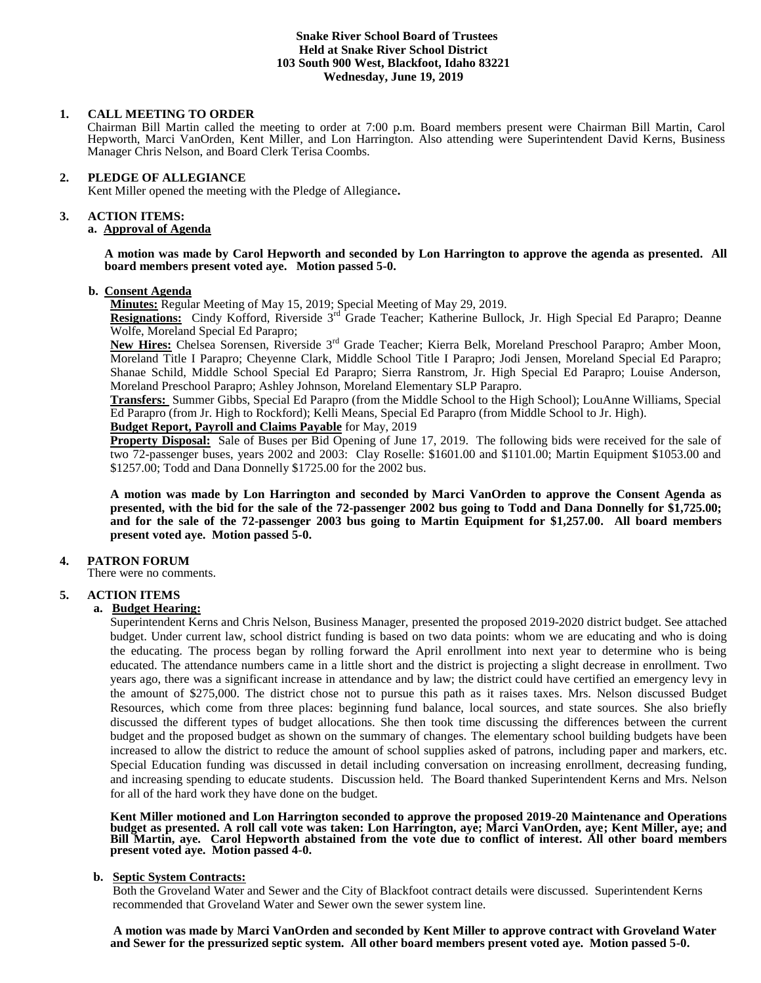## **Snake River School Board of Trustees Held at Snake River School District 103 South 900 West, Blackfoot, Idaho 83221 Wednesday, June 19, 2019**

### **1. CALL MEETING TO ORDER**

Chairman Bill Martin called the meeting to order at 7:00 p.m. Board members present were Chairman Bill Martin, Carol Hepworth, Marci VanOrden, Kent Miller, and Lon Harrington. Also attending were Superintendent David Kerns, Business Manager Chris Nelson, and Board Clerk Terisa Coombs.

# **2. PLEDGE OF ALLEGIANCE**

Kent Miller opened the meeting with the Pledge of Allegiance**.** 

#### **3. ACTION ITEMS:**

### **a. Approval of Agenda**

**A motion was made by Carol Hepworth and seconded by Lon Harrington to approve the agenda as presented. All board members present voted aye. Motion passed 5-0.**

### **b. Consent Agenda**

**Minutes:** Regular Meeting of May 15, 2019; Special Meeting of May 29, 2019.

**Resignations:** Cindy Kofford, Riverside 3rd Grade Teacher; Katherine Bullock, Jr. High Special Ed Parapro; Deanne Wolfe, Moreland Special Ed Parapro;

**New Hires:** Chelsea Sorensen, Riverside 3rd Grade Teacher; Kierra Belk, Moreland Preschool Parapro; Amber Moon, Moreland Title I Parapro; Cheyenne Clark, Middle School Title I Parapro; Jodi Jensen, Moreland Special Ed Parapro; Shanae Schild, Middle School Special Ed Parapro; Sierra Ranstrom, Jr. High Special Ed Parapro; Louise Anderson, Moreland Preschool Parapro; Ashley Johnson, Moreland Elementary SLP Parapro.

**Transfers:** Summer Gibbs, Special Ed Parapro (from the Middle School to the High School); LouAnne Williams, Special Ed Parapro (from Jr. High to Rockford); Kelli Means, Special Ed Parapro (from Middle School to Jr. High).

#### **Budget Report, Payroll and Claims Payable** for May, 2019

**Property Disposal:** Sale of Buses per Bid Opening of June 17, 2019. The following bids were received for the sale of two 72-passenger buses, years 2002 and 2003: Clay Roselle: \$1601.00 and \$1101.00; Martin Equipment \$1053.00 and \$1257.00; Todd and Dana Donnelly \$1725.00 for the 2002 bus.

**A motion was made by Lon Harrington and seconded by Marci VanOrden to approve the Consent Agenda as presented, with the bid for the sale of the 72-passenger 2002 bus going to Todd and Dana Donnelly for \$1,725.00; and for the sale of the 72-passenger 2003 bus going to Martin Equipment for \$1,257.00. All board members present voted aye. Motion passed 5-0.**

# **4. PATRON FORUM**

There were no comments.

# **5. ACTION ITEMS**

#### **a. Budget Hearing:**

Superintendent Kerns and Chris Nelson, Business Manager, presented the proposed 2019-2020 district budget. See attached budget. Under current law, school district funding is based on two data points: whom we are educating and who is doing the educating. The process began by rolling forward the April enrollment into next year to determine who is being educated. The attendance numbers came in a little short and the district is projecting a slight decrease in enrollment. Two years ago, there was a significant increase in attendance and by law; the district could have certified an emergency levy in the amount of \$275,000. The district chose not to pursue this path as it raises taxes. Mrs. Nelson discussed Budget Resources, which come from three places: beginning fund balance, local sources, and state sources. She also briefly discussed the different types of budget allocations. She then took time discussing the differences between the current budget and the proposed budget as shown on the summary of changes. The elementary school building budgets have been increased to allow the district to reduce the amount of school supplies asked of patrons, including paper and markers, etc. Special Education funding was discussed in detail including conversation on increasing enrollment, decreasing funding, and increasing spending to educate students. Discussion held. The Board thanked Superintendent Kerns and Mrs. Nelson for all of the hard work they have done on the budget.

**Kent Miller motioned and Lon Harrington seconded to approve the proposed 2019-20 Maintenance and Operations budget as presented. A roll call vote was taken: Lon Harrington, aye; Marci VanOrden, aye; Kent Miller, aye; and Bill Martin, aye. Carol Hepworth abstained from the vote due to conflict of interest. All other board members present voted aye. Motion passed 4-0.** 

#### **b. Septic System Contracts:**

 Both the Groveland Water and Sewer and the City of Blackfoot contract details were discussed. Superintendent Kerns recommended that Groveland Water and Sewer own the sewer system line.

**A motion was made by Marci VanOrden and seconded by Kent Miller to approve contract with Groveland Water and Sewer for the pressurized septic system. All other board members present voted aye. Motion passed 5-0.**